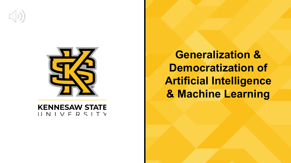



**KENNESAW STATE** UNIVERSITY

**Generalization & Democratization of Artificial Intelligence & Machine Learning**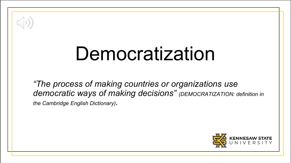

# Democratization

*"The process of making countries or organizations use democratic ways of making decisions" (DEMOCRATIZATION: definition in the Cambridge English Dictionary).*

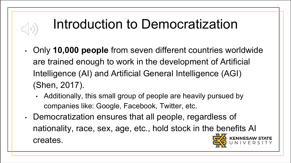#### Introduction to Democratization

- Only **10,000 people** from seven different countries worldwide are trained enough to work in the development of Artificial Intelligence (AI) and Artificial General Intelligence (AGI) (Shen, 2017).
	- Additionally, this small group of people are heavily pursued by companies like: Google, Facebook, Twitter, etc.
- Democratization ensures that all people, regardless of nationality, race, sex, age, etc., hold stock in the benefits AI creates.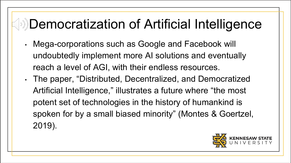#### **Democratization of Artificial Intelligence**

- Mega-corporations such as Google and Facebook will undoubtedly implement more AI solutions and eventually reach a level of AGI, with their endless resources.
- The paper, "Distributed, Decentralized, and Democratized Artificial Intelligence," illustrates a future where "the most potent set of technologies in the history of humankind is spoken for by a small biased minority" (Montes & Goertzel, 2019).

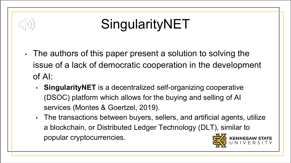### SingularityNET

- The authors of this paper present a solution to solving the issue of a lack of democratic cooperation in the development of AI:
	- **SingularityNET** is a decentralized self-organizing cooperative (DSOC) platform which allows for the buying and selling of AI services (Montes & Goertzel, 2019).
	- The transactions between buyers, sellers, and artificial agents, utilize a blockchain, or Distributed Ledger Technology (DLT), similar to popular cryptocurrencies.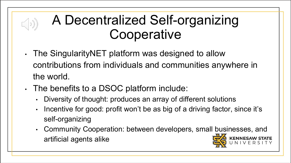#### A Decentralized Self-organizing **Cooperative**

- The SingularityNET platform was designed to allow contributions from individuals and communities anywhere in the world.
- The benefits to a DSOC platform include:
	- Diversity of thought: produces an array of different solutions
	- Incentive for good: profit won't be as big of a driving factor, since it's self-organizing
	- Community Cooperation: between developers, small businesses, and artificial agents alike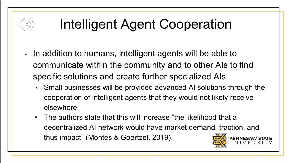# Intelligent Agent Cooperation

 $| \mathcal{D} )$ 

- In addition to humans, intelligent agents will be able to communicate within the community and to other AIs to find specific solutions and create further specialized AIs
	- Small businesses will be provided advanced AI solutions through the cooperation of intelligent agents that they would not likely receive elsewhere.
	- The authors state that this will increase "the likelihood that a decentralized AI network would have market demand, traction, and thus impact" (Montes & Goertzel, 2019).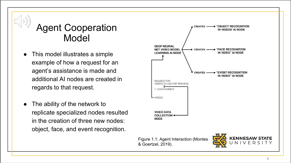#### Agent Cooperation Model

- This model illustrates a simple example of how a request for an agent's assistance is made and additional AI nodes are created in regards to that request.
- The ability of the network to replicate specialized nodes resulted in the creation of three new nodes: object, face, and event recognition.

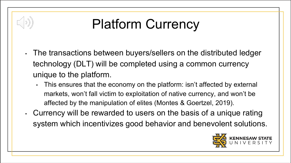### Platform Currency

- The transactions between buyers/sellers on the distributed ledger technology (DLT) will be completed using a common currency unique to the platform.
	- This ensures that the economy on the platform: isn't affected by external markets, won't fall victim to exploitation of native currency, and won't be affected by the manipulation of elites (Montes & Goertzel, 2019).
- Currency will be rewarded to users on the basis of a unique rating system which incentivizes good behavior and benevolent solutions.

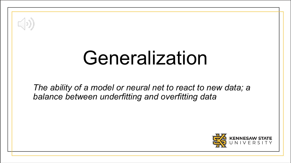

# Generalization

*The ability of a model or neural net to react to new data; a balance between underfitting and overfitting data* 

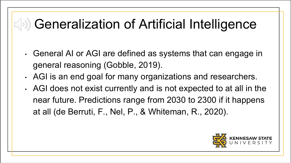#### $\left(\sqrt{s}\right)$  Generalization of Artificial Intelligence

- General AI or AGI are defined as systems that can engage in general reasoning (Gobble, 2019).
- AGI is an end goal for many organizations and researchers.
- AGI does not exist currently and is not expected to at all in the near future. Predictions range from 2030 to 2300 if it happens at all (de Berruti, F., Nel, P., & Whiteman, R., 2020).

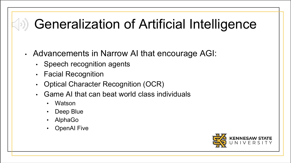#### **Seneralization of Artificial Intelligence**

- Advancements in Narrow AI that encourage AGI:
	- Speech recognition agents
	- Facial Recognition
	- Optical Character Recognition (OCR)
	- Game AI that can beat world class individuals
		- Watson
		- Deep Blue
		- AlphaGo
		- **OpenAI Five**

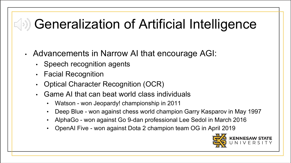#### $\left(\sqrt{s}\right)$  Generalization of Artificial Intelligence

- Advancements in Narrow AI that encourage AGI:
	- Speech recognition agents
	- Facial Recognition
	- Optical Character Recognition (OCR)
	- Game AI that can beat world class individuals
		- Watson won Jeopardy! championship in 2011
		- Deep Blue won against chess world champion Garry Kasparov in May 1997
		- AlphaGo won against Go 9-dan professional Lee Sedol in March 2016
		- OpenAI Five won against Dota 2 champion team OG in April 2019

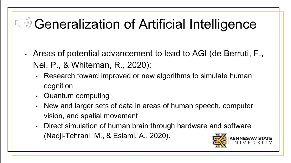# SO) Generalization of Artificial Intelligence

- Areas of potential advancement to lead to AGI (de Berruti, F., Nel, P., & Whiteman, R., 2020):
	- Research toward improved or new algorithms to simulate human cognition
	- Quantum computing
	- New and larger sets of data in areas of human speech, computer vision, and spatial movement
	- Direct simulation of human brain through hardware and software (Nadji-Tehrani, M., & Eslami, A., 2020).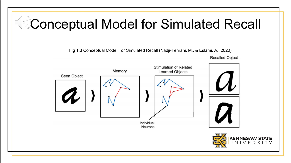### Conceptual Model for Simulated Recall

Fig 1.3 Conceptual Model For Simulated Recall (Nadji-Tehrani, M., & Eslami, A., 2020).

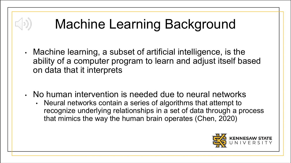# Machine Learning Background

 $(\langle \cdot | \cdot \rangle)$ 

- Machine learning, a subset of artificial intelligence, is the ability of a computer program to learn and adjust itself based on data that it interprets
- No human intervention is needed due to neural networks
	- Neural networks contain a series of algorithms that attempt to recognize underlying relationships in a set of data through a process that mimics the way the human brain operates (Chen, 2020)

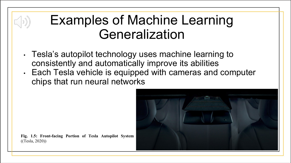#### Examples of Machine Learning Generalization

- Tesla's autopilot technology uses machine learning to consistently and automatically improve its abilities
- Each Tesla vehicle is equipped with cameras and computer chips that run neural networks



**Fig. 1.5: Front-facing Portion of Tesla Autopilot System** ((Tesla, 2020))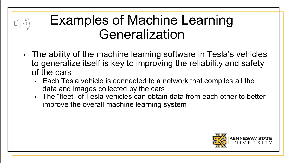#### Examples of Machine Learning Generalization

 $\left(\begin{array}{c} \circ \\ \circ \end{array}\right)$ 

- The ability of the machine learning software in Tesla's vehicles to generalize itself is key to improving the reliability and safety of the cars
	- Each Tesla vehicle is connected to a network that compiles all the data and images collected by the cars
	- The "fleet" of Tesla vehicles can obtain data from each other to better improve the overall machine learning system

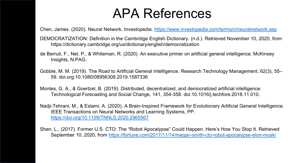#### APA References

Chen, James. (2020). Neural Network. Investopedia.<https://www.investopedia.com/terms/n/neuralnetwork.asp>

- DEMOCRATIZATION: Definition in the Cambridge English Dictionary. (n.d.). Retrieved November 10, 2020, from https://dictionary.cambridge.org/us/dictionary/english/democratization
- de Berruti, F., Nel, P., & Whiteman, R. (2020). An executive primer on artificial general intelligence. McKinsey Insights, N.PAG.
- Gobble, M. M. (2019). The Road to Artificial General Intelligence. Research Technology Management, 62(3), 55– 59. doi.org:10.1080/08956308.2019.1587336
- Montes, G. A., & Goertzel, B. (2019). Distributed, decentralized, and democratized artificial intelligence. Technological Forecasting and Social Change, 141, 354-358. doi:10.1016/j.techfore.2018.11.010.
- Nadji-Tehrani, M., & Eslami, A. (2020). A Brain-Inspired Framework for Evolutionary Artificial General Intelligence. IEEE Transactions on Neural Networks and Learning Systems, PP. <https://doi.org/10.1109/TNNLS.2020.2965567>
- Shen, L., (2017). Former U.S. CTO: The "Robot Apocalypse" Could Happen. Here's How You Stop It. Retrieved September 10, 2020, from <https://fortune.com/2017/11/14/megan-smith-cto-robot-apocalypse-elon-musk/>